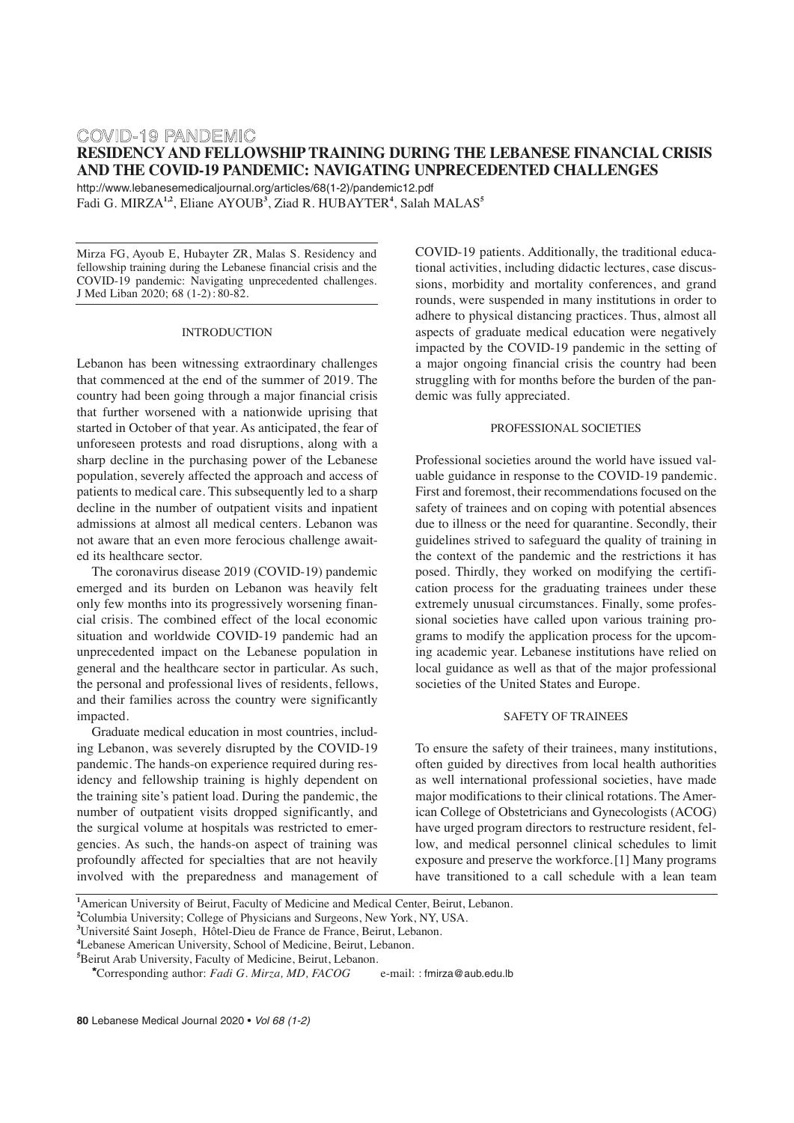# COVID-19 PANDEMIC **RESIDENCY AND FELLOWSHIP TRAINING DURING THE LEBANESE FINANCIAL CRISIS AND THE COVID-19 PANDEMIC: NAVIGATING UNPRECEDENTED CHALLENGES**

http://www.lebanesemedicaljournal.org/articles/68(1-2)/pandemic12.pdf

Fadi G. MIRZA**1,2**, Eliane AYOUB**<sup>3</sup>** , Ziad R. HUBAYTER**<sup>4</sup>** , Salah MALAS**<sup>5</sup>**

Mirza FG, Ayoub E, Hubayter ZR, Malas S. Residency and fellowship training during the Lebanese financial crisis and the COVID-19 pandemic: Navigating unprecedented challenges. J Med Liban 2020; 68 (1-2) : 80-82.

#### INTRODUCTION

Lebanon has been witnessing extraordinary challenges that commenced at the end of the summer of 2019. The country had been going through a major financial crisis that further worsened with a nationwide uprising that started in October of that year. As anticipated, the fear of unforeseen protests and road disruptions, along with a sharp decline in the purchasing power of the Lebanese population, severely affected the approach and access of patients to medical care. This subsequently led to a sharp decline in the number of outpatient visits and inpatient admissions at almost all medical centers. Lebanon was not aware that an even more ferocious challenge awaited its healthcare sector.

The coronavirus disease 2019 (COVID-19) pandemic emerged and its burden on Lebanon was heavily felt only few months into its progressively worsening financial crisis. The combined effect of the local economic situation and worldwide COVID-19 pandemic had an unprecedented impact on the Lebanese population in general and the healthcare sector in particular. As such, the personal and professional lives of residents, fellows, and their families across the country were significantly impacted.

Graduate medical education in most countries, including Lebanon, was severely disrupted by the COVID-19 pandemic. The hands-on experience required during residency and fellowship training is highly dependent on the training site's patient load. During the pandemic, the number of outpatient visits dropped significantly, and the surgical volume at hospitals was restricted to emergencies. As such, the hands-on aspect of training was profoundly affected for specialties that are not heavily involved with the preparedness and management of

COVID-19 patients. Additionally, the traditional educational activities, including didactic lectures, case discussions, morbidity and mortality conferences, and grand rounds, were suspended in many institutions in order to adhere to physical distancing practices. Thus, almost all aspects of graduate medical education were negatively impacted by the COVID-19 pandemic in the setting of a major ongoing financial crisis the country had been struggling with for months before the burden of the pandemic was fully appreciated.

# PROFESSIONAL SOCIETIES

Professional societies around the world have issued valuable guidance in response to the COVID-19 pandemic. First and foremost, their recommendations focused on the safety of trainees and on coping with potential absences due to illness or the need for quarantine. Secondly, their guidelines strived to safeguard the quality of training in the context of the pandemic and the restrictions it has posed. Thirdly, they worked on modifying the certification process for the graduating trainees under these extremely unusual circumstances. Finally, some professional societies have called upon various training programs to modify the application process for the upcoming academic year. Lebanese institutions have relied on local guidance as well as that of the major professional societies of the United States and Europe.

# SAFETY OF TRAINEES

To ensure the safety of their trainees, many institutions, often guided by directives from local health authorities as well international professional societies, have made major modifications to their clinical rotations. The American College of Obstetricians and Gynecologists (ACOG) have urged program directors to restructure resident, fellow, and medical personnel clinical schedules to limit exposure and preserve the workforce.[1] Many programs have transitioned to a call schedule with a lean team

<sup>&</sup>lt;sup>1</sup> American University of Beirut, Faculty of Medicine and Medical Center, Beirut, Lebanon.

**<sup>2</sup>** Columbia University; College of Physicians and Surgeons, New York, NY, USA.

**<sup>3</sup>** Université Saint Joseph, Hôtel-Dieu de France de France, Beirut, Lebanon.

**<sup>4</sup>** Lebanese American University, School of Medicine, Beirut, Lebanon.

**<sup>5</sup>** Beirut Arab University, Faculty of Medicine, Beirut, Lebanon.

<sup>\*</sup>Corresponding author: *Fadi G. Mirza, MD, FACOG* e-mail: : fmirza@aub.edu.lb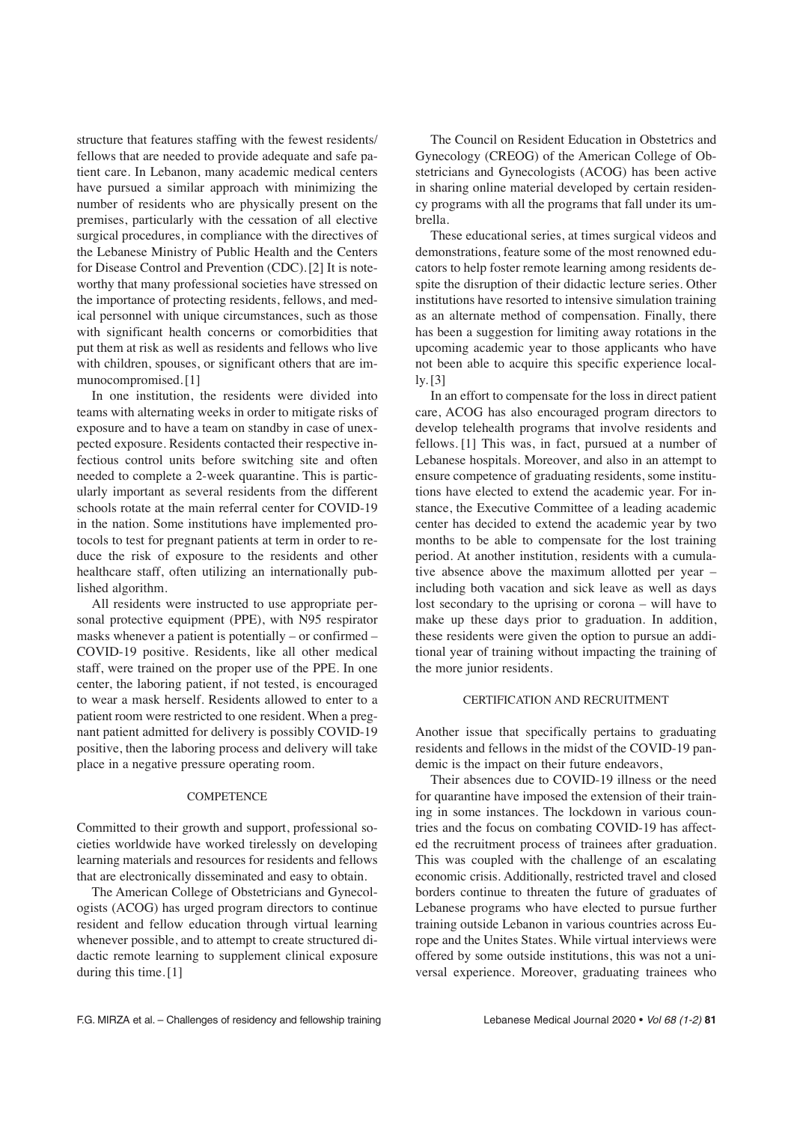structure that features staffing with the fewest residents/ fellows that are needed to provide adequate and safe patient care. In Lebanon, many academic medical centers have pursued a similar approach with minimizing the number of residents who are physically present on the premises, particularly with the cessation of all elective surgical procedures, in compliance with the directives of the Lebanese Ministry of Public Health and the Centers for Disease Control and Prevention (CDC).[2] It is noteworthy that many professional societies have stressed on the importance of protecting residents, fellows, and medical personnel with unique circumstances, such as those with significant health concerns or comorbidities that put them at risk as well as residents and fellows who live with children, spouses, or significant others that are immunocompromised. [1]

In one institution, the residents were divided into teams with alternating weeks in order to mitigate risks of exposure and to have a team on standby in case of unexpected exposure. Residents contacted their respective infectious control units before switching site and often needed to complete a 2-week quarantine. This is particularly important as several residents from the different schools rotate at the main referral center for COVID-19 in the nation. Some institutions have implemented protocols to test for pregnant patients at term in order to reduce the risk of exposure to the residents and other healthcare staff, often utilizing an internationally published algorithm.

All residents were instructed to use appropriate personal protective equipment (PPE), with N95 respirator masks whenever a patient is potentially – or confirmed – COVID-19 positive. Residents, like all other medical staff, were trained on the proper use of the PPE. In one center, the laboring patient, if not tested, is encouraged to wear a mask herself. Residents allowed to enter to a patient room were restricted to one resident. When a pregnant patient admitted for delivery is possibly COVID-19 positive, then the laboring process and delivery will take place in a negative pressure operating room.

#### **COMPETENCE**

Committed to their growth and support, professional societies worldwide have worked tirelessly on developing learning materials and resources for residents and fellows that are electronically disseminated and easy to obtain.

The American College of Obstetricians and Gynecologists (ACOG) has urged program directors to continue resident and fellow education through virtual learning whenever possible, and to attempt to create structured didactic remote learning to supplement clinical exposure during this time. [1]

The Council on Resident Education in Obstetrics and Gynecology (CREOG) of the American College of Obstetricians and Gynecologists (ACOG) has been active in sharing online material developed by certain residency programs with all the programs that fall under its umbrella.

These educational series, at times surgical videos and demonstrations, feature some of the most renowned educators to help foster remote learning among residents despite the disruption of their didactic lecture series. Other institutions have resorted to intensive simulation training as an alternate method of compensation. Finally, there has been a suggestion for limiting away rotations in the upcoming academic year to those applicants who have not been able to acquire this specific experience locally. [3]

In an effort to compensate for the loss in direct patient care, ACOG has also encouraged program directors to develop telehealth programs that involve residents and fellows. [1] This was, in fact, pursued at a number of Lebanese hospitals. Moreover, and also in an attempt to ensure competence of graduating residents, some institutions have elected to extend the academic year. For instance, the Executive Committee of a leading academic center has decided to extend the academic year by two months to be able to compensate for the lost training period. At another institution, residents with a cumulative absence above the maximum allotted per year – including both vacation and sick leave as well as days lost secondary to the uprising or corona – will have to make up these days prior to graduation. In addition, these residents were given the option to pursue an additional year of training without impacting the training of the more junior residents.

# CERTIFICATION AND RECRUITMENT

Another issue that specifically pertains to graduating residents and fellows in the midst of the COVID-19 pandemic is the impact on their future endeavors,

Their absences due to COVID-19 illness or the need for quarantine have imposed the extension of their training in some instances. The lockdown in various countries and the focus on combating COVID-19 has affected the recruitment process of trainees after graduation. This was coupled with the challenge of an escalating economic crisis. Additionally, restricted travel and closed borders continue to threaten the future of graduates of Lebanese programs who have elected to pursue further training outside Lebanon in various countries across Europe and the Unites States. While virtual interviews were offered by some outside institutions, this was not a universal experience. Moreover, graduating trainees who